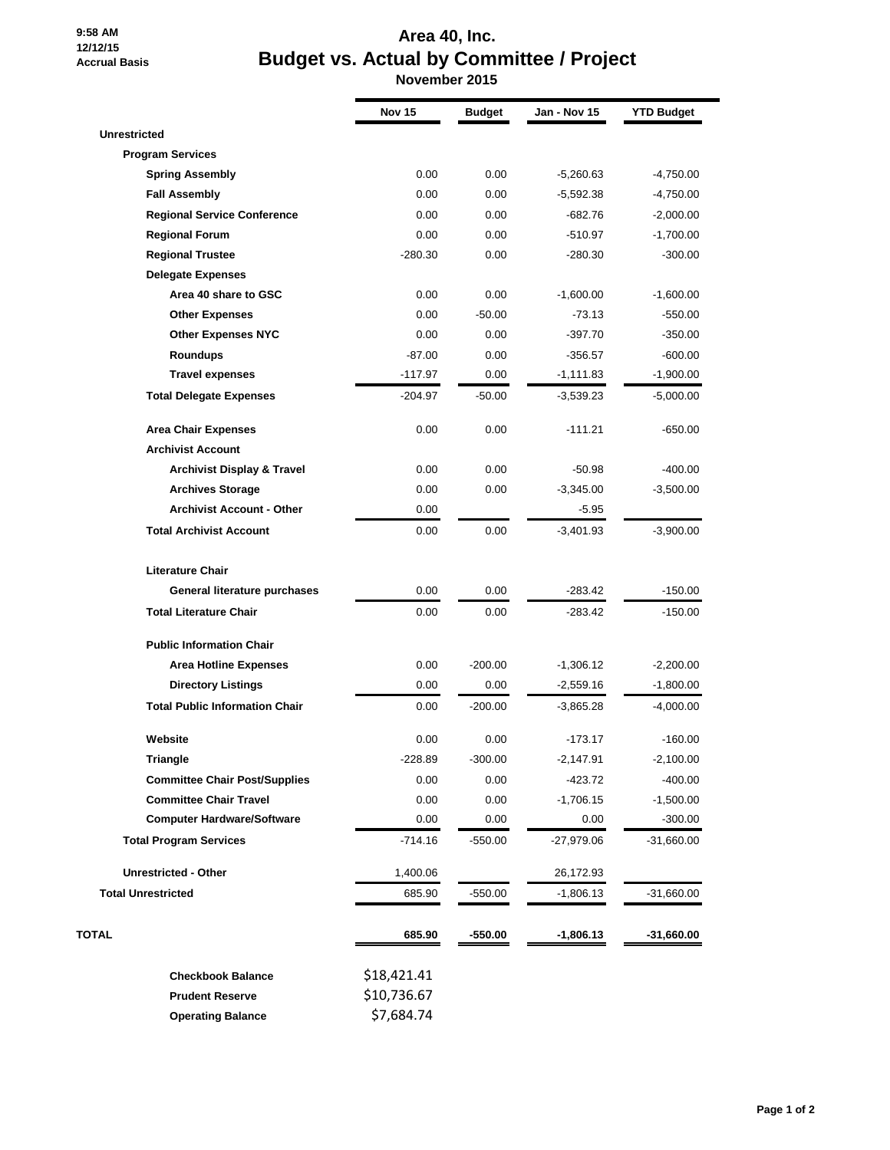## **9:58 AM 12/12/15 Accrual Basis**

## **Area 40, Inc. Budget vs. Actual by Committee / Project November 2015**

|                                       | <b>Nov 15</b> | <b>Budget</b> | Jan - Nov 15 | <b>YTD Budget</b> |
|---------------------------------------|---------------|---------------|--------------|-------------------|
| <b>Unrestricted</b>                   |               |               |              |                   |
| <b>Program Services</b>               |               |               |              |                   |
| <b>Spring Assembly</b>                | 0.00          | 0.00          | $-5,260.63$  | $-4,750.00$       |
| <b>Fall Assembly</b>                  | 0.00          | 0.00          | $-5,592.38$  | $-4,750.00$       |
| <b>Regional Service Conference</b>    | 0.00          | 0.00          | $-682.76$    | $-2,000.00$       |
| <b>Regional Forum</b>                 | 0.00          | 0.00          | $-510.97$    | $-1,700.00$       |
| <b>Regional Trustee</b>               | $-280.30$     | 0.00          | $-280.30$    | $-300.00$         |
| <b>Delegate Expenses</b>              |               |               |              |                   |
| Area 40 share to GSC                  | 0.00          | 0.00          | $-1,600.00$  | $-1,600.00$       |
| <b>Other Expenses</b>                 | 0.00          | $-50.00$      | $-73.13$     | $-550.00$         |
| <b>Other Expenses NYC</b>             | 0.00          | 0.00          | $-397.70$    | $-350.00$         |
| <b>Roundups</b>                       | $-87.00$      | 0.00          | $-356.57$    | $-600.00$         |
| <b>Travel expenses</b>                | $-117.97$     | 0.00          | $-1,111.83$  | $-1,900.00$       |
| <b>Total Delegate Expenses</b>        | $-204.97$     | $-50.00$      | $-3,539.23$  | $-5,000.00$       |
| <b>Area Chair Expenses</b>            | 0.00          | 0.00          | $-111.21$    | $-650.00$         |
| <b>Archivist Account</b>              |               |               |              |                   |
| <b>Archivist Display &amp; Travel</b> | 0.00          | 0.00          | $-50.98$     | $-400.00$         |
| <b>Archives Storage</b>               | 0.00          | 0.00          | $-3,345.00$  | $-3,500.00$       |
| <b>Archivist Account - Other</b>      | 0.00          |               | $-5.95$      |                   |
| <b>Total Archivist Account</b>        | 0.00          | 0.00          | $-3,401.93$  | $-3,900.00$       |
| <b>Literature Chair</b>               |               |               |              |                   |
| General literature purchases          | 0.00          | 0.00          | $-283.42$    | $-150.00$         |
| <b>Total Literature Chair</b>         | 0.00          | 0.00          | $-283.42$    | $-150.00$         |
| <b>Public Information Chair</b>       |               |               |              |                   |
| <b>Area Hotline Expenses</b>          | 0.00          | $-200.00$     | $-1,306.12$  | $-2,200.00$       |
| <b>Directory Listings</b>             | 0.00          | 0.00          | $-2,559.16$  | $-1,800.00$       |
| <b>Total Public Information Chair</b> | 0.00          | $-200.00$     | $-3,865.28$  | $-4,000.00$       |
| Website                               | 0.00          | 0.00          | $-173.17$    | $-160.00$         |
| <b>Triangle</b>                       | $-228.89$     | $-300.00$     | $-2,147.91$  | $-2,100.00$       |
| <b>Committee Chair Post/Supplies</b>  | 0.00          | 0.00          | $-423.72$    | $-400.00$         |
| <b>Committee Chair Travel</b>         | 0.00          | 0.00          | $-1,706.15$  | $-1,500.00$       |
| <b>Computer Hardware/Software</b>     | 0.00          | 0.00          | 0.00         | $-300.00$         |
| <b>Total Program Services</b>         | $-714.16$     | $-550.00$     | $-27,979.06$ | -31,660.00        |
| <b>Unrestricted - Other</b>           | 1,400.06      |               | 26,172.93    |                   |
| <b>Total Unrestricted</b>             | 685.90        | -550.00       | $-1,806.13$  | -31,660.00        |
| TOTAL                                 | 685.90        | $-550.00$     | -1,806.13    | -31,660.00        |
| <b>Checkbook Balance</b>              | \$18,421.41   |               |              |                   |
| <b>Prudent Reserve</b>                | \$10,736.67   |               |              |                   |
| <b>Operating Balance</b>              | \$7,684.74    |               |              |                   |

3